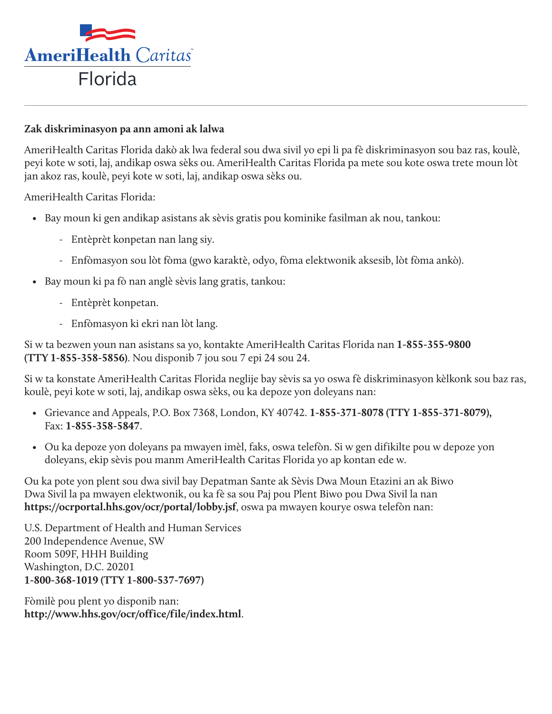

## **Zak diskriminasyon pa ann amoni ak lalwa**

AmeriHealth Caritas Florida dakò ak lwa federal sou dwa sivil yo epi li pa fè diskriminasyon sou baz ras, koulè, peyi kote w soti, laj, andikap oswa sèks ou. AmeriHealth Caritas Florida pa mete sou kote oswa trete moun lòt jan akoz ras, koulè, peyi kote w soti, laj, andikap oswa sèks ou.

AmeriHealth Caritas Florida:

- Bay moun ki gen andikap asistans ak sèvis gratis pou kominike fasilman ak nou, tankou:
	- Entèprèt konpetan nan lang siy.
	- Enfòmasyon sou lòt fòma (gwo karaktè, odyo, fòma elektwonik aksesib, lòt fòma ankò).
- Bay moun ki pa fò nan anglè sèvis lang gratis, tankou:
	- Entèprèt konpetan.
	- Enfòmasyon ki ekri nan lòt lang.

Si w ta bezwen youn nan asistans sa yo, kontakte AmeriHealth Caritas Florida nan **1-855-355-9800 (TTY 1-855-358-5856)**. Nou disponib 7 jou sou 7 epi 24 sou 24.

Si w ta konstate AmeriHealth Caritas Florida neglije bay sèvis sa yo oswa fè diskriminasyon kèlkonk sou baz ras, koulè, peyi kote w soti, laj, andikap oswa sèks, ou ka depoze yon doleyans nan:

- Grievance and Appeals, P.O. Box 7368, London, KY 40742. **1-855-371-8078 (TTY 1-855-371-8079),** Fax: **1-855-358-5847**.
- Ou ka depoze yon doleyans pa mwayen imèl, faks, oswa telefòn. Si w gen difikilte pou w depoze yon doleyans, ekip sèvis pou manm AmeriHealth Caritas Florida yo ap kontan ede w.

Ou ka pote yon plent sou dwa sivil bay Depatman Sante ak Sèvis Dwa Moun Etazini an ak Biwo Dwa Sivil la pa mwayen elektwonik, ou ka fè sa sou Paj pou Plent Biwo pou Dwa Sivil la nan **https://ocrportal.hhs.gov/ocr/portal/lobby.jsf**, oswa pa mwayen kourye oswa telefòn nan:

U.S. Department of Health and Human Services 200 Independence Avenue, SW Room 509F, HHH Building Washington, D.C. 20201 **1-800-368-1019 (TTY 1-800-537-7697)**

Fòmilè pou plent yo disponib nan: **<http://www.hhs.gov/ocr/office/file/index.html>**.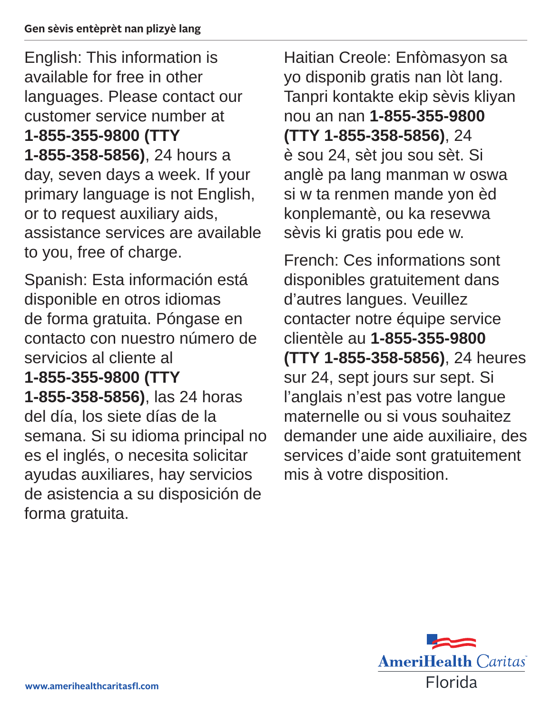English: This information is available for free in other languages. Please contact our customer service number at **1-855-355-9800 (TTY 1-855-358-5856)**, 24 hours a day, seven days a week. If your primary language is not English, or to request auxiliary aids, assistance services are available to you, free of charge.

Spanish: Esta información está disponible en otros idiomas de forma gratuita. Póngase en contacto con nuestro número de servicios al cliente al **1-855-355-9800 (TTY 1-855-358-5856)**, las 24 horas del día, los siete días de la semana. Si su idioma principal no es el inglés, o necesita solicitar ayudas auxiliares, hay servicios de asistencia a su disposición de forma gratuita.

Haitian Creole: Enfòmasyon sa yo disponib gratis nan lòt lang. Tanpri kontakte ekip sèvis kliyan nou an nan **1-855-355-9800 (TTY 1-855-358-5856)**, 24 è sou 24, sèt jou sou sèt. Si anglè pa lang manman w oswa si w ta renmen mande yon èd konplemantè, ou ka resevwa sèvis ki gratis pou ede w.

French: Ces informations sont disponibles gratuitement dans d'autres langues. Veuillez contacter notre équipe service clientèle au **1-855-355-9800 (TTY 1-855-358-5856)**, 24 heures sur 24, sept jours sur sept. Si l'anglais n'est pas votre langue maternelle ou si vous souhaitez demander une aide auxiliaire, des services d'aide sont gratuitement mis à votre disposition.

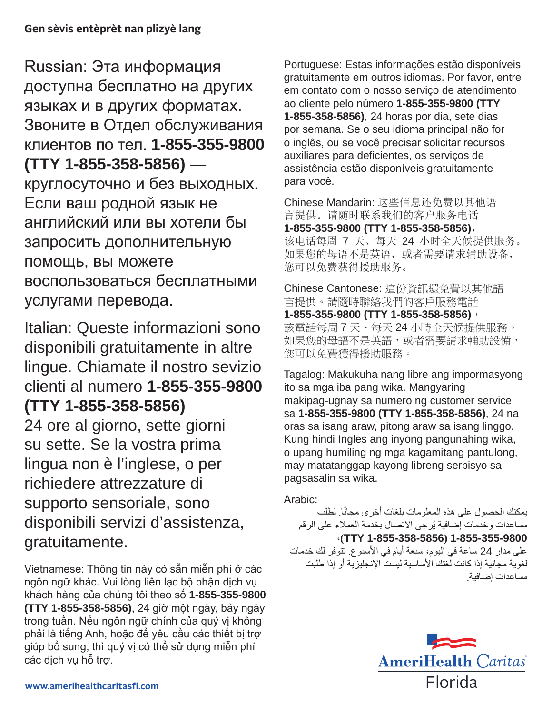Russian: Эта информация доступна бесплатно на других языках и в других форматах. Звоните в Отдел обслуживания клиентов по тел. **1-855-355-9800 (TTY 1-855-358-5856)** круглосуточно и без выходных. Если ваш родной язык не английский или вы хотели бы запросить дополнительную помощь, вы можете воспользоваться бесплатными услугами перевода.

Italian: Queste informazioni sono disponibili gratuitamente in altre lingue. Chiamate il nostro sevizio clienti al numero **1-855-355-9800 (TTY 1-855-358-5856)**

24 ore al giorno, sette giorni su sette. Se la vostra prima lingua non è l'inglese, o per richiedere attrezzature di supporto sensoriale, sono disponibili servizi d'assistenza, gratuitamente.

Vietnamese: Thông tin này có sẵn miễn phí ở các ngôn ngữ khác. Vui lòng liên lạc bộ phận dịch vụ khách hàng của chúng tôi theo số **1-855-355-9800 (TTY 1-855-358-5856)**, 24 giờ một ngày, bảy ngày trong tuần. Nếu ngôn ngữ chính của quý vị không phải là tiếng Anh, hoặc để yêu cầu các thiết bị trợ giúp bổ sung, thì quý vị có thể sử dụng miễn phí các dịch vụ hỗ trợ.

Portuguese: Estas informações estão disponíveis gratuitamente em outros idiomas. Por favor, entre em contato com o nosso serviço de atendimento ao cliente pelo número **1-855-355-9800 (TTY 1-855-358-5856)**, 24 horas por dia, sete dias por semana. Se o seu idioma principal não for o inglês, ou se você precisar solicitar recursos auxiliares para deficientes, os serviços de assistência estão disponíveis gratuitamente para você.

Chinese Mandarin: 这些信息还免费以其他语 言提供。请随时联系我们的客户服务电话 **1-855-355-9800 (TTY 1-855-358-5856)**, 该电话每周 7 天、每天 24 小时全天候提供服务。 如果您的母语不是英语,或者需要请求辅助设备, 您可以免费获得援助服务。

Chinese Cantonese: 這份資訊還免費以其他語 言提供。請隨時聯絡我們的客戶服務電話 **1-855-355-9800 (TTY 1-855-358-5856)**, 該電話每周 7 天、每天 24 小時全天候提供服務。 如果您的母語不是英語,或者需要請求輔助設備, 您可以免費獲得援助服務。

Tagalog: Makukuha nang libre ang impormasyong ito sa mga iba pang wika. Mangyaring makipag-ugnay sa numero ng customer service sa **1-855-355-9800 (TTY 1-855-358-5856)**, 24 na oras sa isang araw, pitong araw sa isang linggo. Kung hindi Ingles ang inyong pangunahing wika, o upang humiling ng mga kagamitang pantulong, may matatanggap kayong libreng serbisyo sa pagsasalin sa wika.

Arabic:

يمكنك الحصول على هذه المعلومات بلغات أخرى مجانًا. لطلب مساعدات وخدمات إضافية يُرجى الاتصال بخدمة العملاء على الرقم ،**)TTY 1-855-358-5856( 1-855-355-9800** على مدار 24 ساعة في اليوم، سبعة أيام في الأسبوع. تتوفر لك خدمات لغوية مجانية إذا كانت لغتك األساسية ليست اإلنجليزية أو إذا طلبت

مساعدات إضافية.